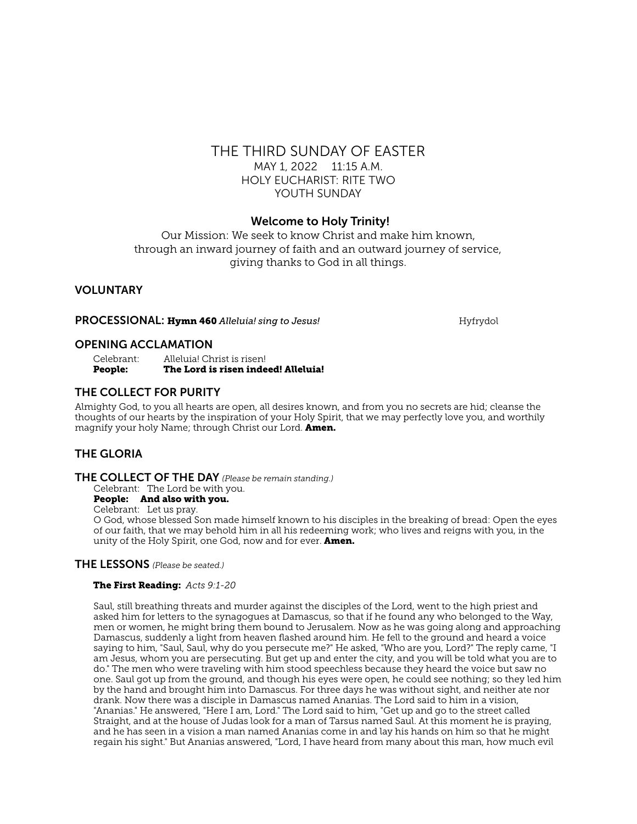# THE THIRD SUNDAY OF EASTER MAY 1, 2022 11:15 A.M. HOLY EUCHARIST: RITE TWO YOUTH SUNDAY

# Welcome to Holy Trinity!

Our Mission: We seek to know Christ and make him known, through an inward journey of faith and an outward journey of service, giving thanks to God in all things.

# **VOLUNTARY**

**PROCESSIONAL: Hymn 460** Alleluia! sing to Jesus!

# OPENING ACCLAMATION

Celebrant: Alleluia! Christ is risen!<br> **People: The Lord is risen inde** The Lord is risen indeed! Alleluia!

# THE COLLECT FOR PURITY

Almighty God, to you all hearts are open, all desires known, and from you no secrets are hid; cleanse the thoughts of our hearts by the inspiration of your Holy Spirit, that we may perfectly love you, and worthily magnify your holy Name; through Christ our Lord. Amen.

# THE GLORIA

THE COLLECT OF THE DAY *(Please be remain standing.)* 

Celebrant: The Lord be with you.

People: And also with you.

Celebrant: Let us pray.

O God, whose blessed Son made himself known to his disciples in the breaking of bread: Open the eyes of our faith, that we may behold him in all his redeeming work; who lives and reigns with you, in the unity of the Holy Spirit, one God, now and for ever. **Amen.** 

## THE LESSONS *(Please be seated.)*

## The First Reading: *Acts 9:1-20*

Saul, still breathing threats and murder against the disciples of the Lord, went to the high priest and asked him for letters to the synagogues at Damascus, so that if he found any who belonged to the Way, men or women, he might bring them bound to Jerusalem. Now as he was going along and approaching Damascus, suddenly a light from heaven flashed around him. He fell to the ground and heard a voice saying to him, "Saul, Saul, why do you persecute me?" He asked, "Who are you, Lord?" The reply came, "I am Jesus, whom you are persecuting. But get up and enter the city, and you will be told what you are to do." The men who were traveling with him stood speechless because they heard the voice but saw no one. Saul got up from the ground, and though his eyes were open, he could see nothing; so they led him by the hand and brought him into Damascus. For three days he was without sight, and neither ate nor drank. Now there was a disciple in Damascus named Ananias. The Lord said to him in a vision, "Ananias." He answered, "Here I am, Lord." The Lord said to him, "Get up and go to the street called Straight, and at the house of Judas look for a man of Tarsus named Saul. At this moment he is praying, and he has seen in a vision a man named Ananias come in and lay his hands on him so that he might regain his sight." But Ananias answered, "Lord, I have heard from many about this man, how much evil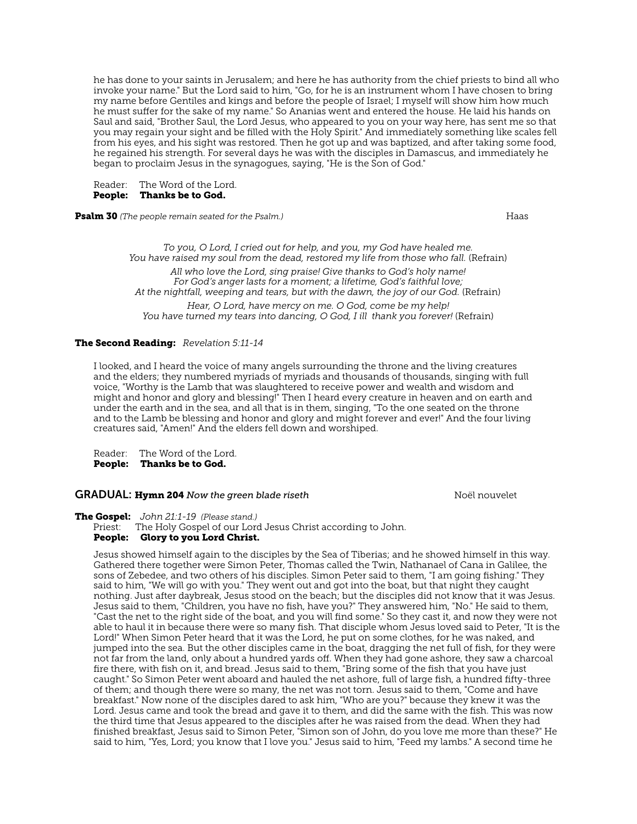he has done to your saints in Jerusalem; and here he has authority from the chief priests to bind all who invoke your name." But the Lord said to him, "Go, for he is an instrument whom I have chosen to bring my name before Gentiles and kings and before the people of Israel; I myself will show him how much he must suffer for the sake of my name." So Ananias went and entered the house. He laid his hands on Saul and said, "Brother Saul, the Lord Jesus, who appeared to you on your way here, has sent me so that you may regain your sight and be filled with the Holy Spirit." And immediately something like scales fell from his eyes, and his sight was restored. Then he got up and was baptized, and after taking some food, he regained his strength. For several days he was with the disciples in Damascus, and immediately he began to proclaim Jesus in the synagogues, saying, "He is the Son of God."

Reader: The Word of the Lord. People: Thanks be to God.

Psalm 30 *(The people remain seated for the Psalm.)* Haas

*To you, O Lord, I cried out for help, and you, my God have healed me. You have raised my soul from the dead, restored my life from those who fall.* (Refrain) *All who love the Lord, sing praise! Give thanks to God's holy name! For God's anger lasts for a moment; a lifetime, God's faithful love; At the nightfall, weeping and tears, but with the dawn, the joy of our God.* (Refrain) *Hear, O Lord, have mercy on me. O God, come be my help! You have turned my tears into dancing, O God, I ill thank you forever!* (Refrain)

## The Second Reading: *Revelation 5:11-14*

I looked, and I heard the voice of many angels surrounding the throne and the living creatures and the elders; they numbered myriads of myriads and thousands of thousands, singing with full voice, "Worthy is the Lamb that was slaughtered to receive power and wealth and wisdom and might and honor and glory and blessing!" Then I heard every creature in heaven and on earth and under the earth and in the sea, and all that is in them, singing, "To the one seated on the throne and to the Lamb be blessing and honor and glory and might forever and ever!" And the four living creatures said, "Amen!" And the elders fell down and worshiped.

Reader: The Word of the Lord. People: Thanks be to God.

#### **GRADUAL: Hymn 204** *Now the green blade riseth* Notal Motor and Moël nouvelet

The Gospel: *John 21:1-19 (Please stand.)*

Priest: The Holy Gospel of our Lord Jesus Christ according to John. People: Glory to you Lord Christ.

Jesus showed himself again to the disciples by the Sea of Tiberias; and he showed himself in this way. Gathered there together were Simon Peter, Thomas called the Twin, Nathanael of Cana in Galilee, the sons of Zebedee, and two others of his disciples. Simon Peter said to them, "I am going fishing." They said to him, "We will go with you." They went out and got into the boat, but that night they caught nothing. Just after daybreak, Jesus stood on the beach; but the disciples did not know that it was Jesus. Jesus said to them, "Children, you have no fish, have you?" They answered him, "No." He said to them, "Cast the net to the right side of the boat, and you will find some." So they cast it, and now they were not able to haul it in because there were so many fish. That disciple whom Jesus loved said to Peter, "It is the Lord!" When Simon Peter heard that it was the Lord, he put on some clothes, for he was naked, and jumped into the sea. But the other disciples came in the boat, dragging the net full of fish, for they were not far from the land, only about a hundred yards off. When they had gone ashore, they saw a charcoal fire there, with fish on it, and bread. Jesus said to them, "Bring some of the fish that you have just caught." So Simon Peter went aboard and hauled the net ashore, full of large fish, a hundred fifty-three of them; and though there were so many, the net was not torn. Jesus said to them, "Come and have breakfast." Now none of the disciples dared to ask him, "Who are you?" because they knew it was the Lord. Jesus came and took the bread and gave it to them, and did the same with the fish. This was now the third time that Jesus appeared to the disciples after he was raised from the dead. When they had finished breakfast, Jesus said to Simon Peter, "Simon son of John, do you love me more than these?" He said to him, "Yes, Lord; you know that I love you." Jesus said to him, "Feed my lambs." A second time he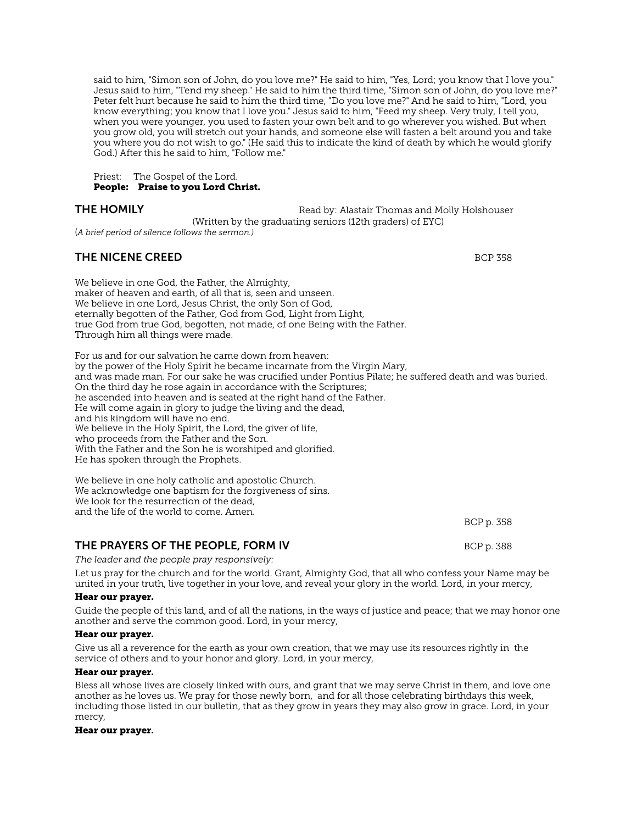said to him, "Simon son of John, do you love me?" He said to him, "Yes, Lord; you know that I love you." Jesus said to him, "Tend my sheep." He said to him the third time, "Simon son of John, do you love me?" Peter felt hurt because he said to him the third time, "Do you love me?" And he said to him, "Lord, you know everything; you know that I love you." Jesus said to him, "Feed my sheep. Very truly, I tell you, when you were younger, you used to fasten your own belt and to go wherever you wished. But when you grow old, you will stretch out your hands, and someone else will fasten a belt around you and take you where you do not wish to go." (He said this to indicate the kind of death by which he would glorify God.) After this he said to him, "Follow me."

Priest: The Gospel of the Lord. People: Praise to you Lord Christ.

**THE HOMILY EXECUTE:** Read by: Alastair Thomas and Molly Holshouser (Written by the graduating seniors (12th graders) of EYC)

(*A brief period of silence follows the sermon.)*

# THE NICENE CREED BODY BOOK AND THE MICENE CREED

BCP p. 358

We believe in one God, the Father, the Almighty, maker of heaven and earth, of all that is, seen and unseen. We believe in one Lord, Jesus Christ, the only Son of God, eternally begotten of the Father, God from God, Light from Light, true God from true God, begotten, not made, of one Being with the Father. Through him all things were made.

For us and for our salvation he came down from heaven: by the power of the Holy Spirit he became incarnate from the Virgin Mary, and was made man. For our sake he was crucified under Pontius Pilate; he suffered death and was buried. On the third day he rose again in accordance with the Scriptures; he ascended into heaven and is seated at the right hand of the Father. He will come again in glory to judge the living and the dead, and his kingdom will have no end. We believe in the Holy Spirit, the Lord, the giver of life, who proceeds from the Father and the Son. With the Father and the Son he is worshiped and glorified. He has spoken through the Prophets.

We believe in one holy catholic and apostolic Church. We acknowledge one baptism for the forgiveness of sins. We look for the resurrection of the dead, and the life of the world to come. Amen.

# THE PRAYERS OF THE PEOPLE, FORM IV BEEL AND REPAIR FOR A BOD  $BCP$  p. 388

*The leader and the people pray responsively:*

Let us pray for the church and for the world. Grant, Almighty God, that all who confess your Name may be united in your truth, live together in your love, and reveal your glory in the world. Lord, in your mercy,

## Hear our prayer.

Guide the people of this land, and of all the nations, in the ways of justice and peace; that we may honor one another and serve the common good. Lord, in your mercy,

## Hear our prayer.

Give us all a reverence for the earth as your own creation, that we may use its resources rightly in the service of others and to your honor and glory. Lord, in your mercy,

## Hear our prayer.

Bless all whose lives are closely linked with ours, and grant that we may serve Christ in them, and love one another as he loves us. We pray for those newly born, and for all those celebrating birthdays this week, including those listed in our bulletin, that as they grow in years they may also grow in grace. Lord, in your mercy,

## Hear our prayer.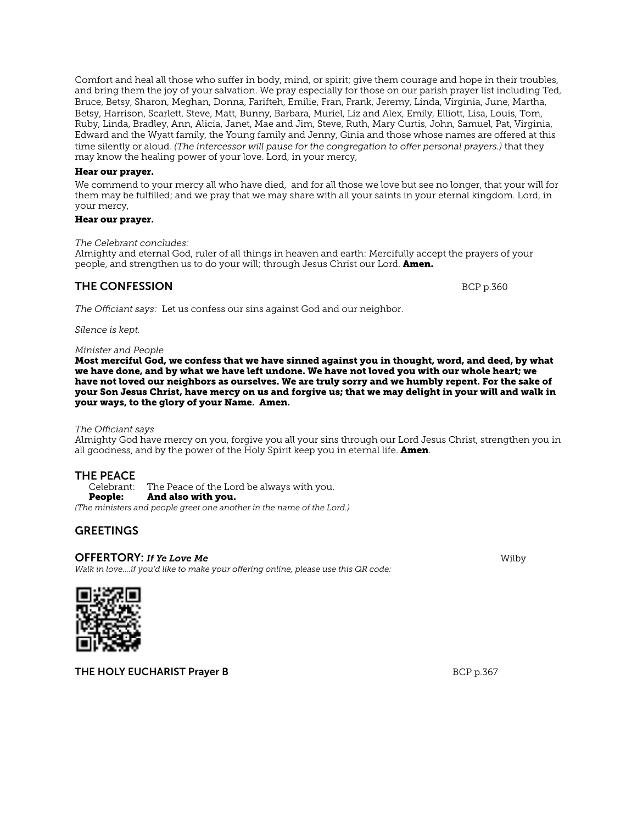Bruce, Betsy, Sharon, Meghan, Donna, Farifteh, Emilie, Fran, Frank, Jeremy, Linda, Virginia, June, Martha, Betsy, Harrison, Scarlett, Steve, Matt, Bunny, Barbara, Muriel, Liz and Alex, Emily, Elliott, Lisa, Louis, Tom, Ruby, Linda, Bradley, Ann, Alicia, Janet, Mae and Jim, Steve, Ruth, Mary Curtis, John, Samuel, Pat, Virginia, Edward and the Wyatt family, the Young family and Jenny, Ginia and those whose names are offered at this time silently or aloud*. (The intercessor will pause for the congregation to offer personal prayers.)* that they may know the healing power of your love. Lord, in your mercy,

We commend to your mercy all who have died, and for all those we love but see no longer, that your will for them may be fulfilled; and we pray that we may share with all your saints in your eternal kingdom. Lord, in your mercy,

Comfort and heal all those who suffer in body, mind, or spirit; give them courage and hope in their troubles, and bring them the joy of your salvation. We pray especially for those on our parish prayer list including Ted,

# Hear our prayer.

Hear our prayer.

# *The Celebrant concludes:*

Almighty and eternal God, ruler of all things in heaven and earth: Mercifully accept the prayers of your people, and strengthen us to do your will; through Jesus Christ our Lord. Amen.

# **THE CONFESSION BUDGET AND REPUBLICAN BCP p.360**

*The Officiant says:* Let us confess our sins against God and our neighbor.

*Silence is kept.*

# *Minister and People*

Most merciful God, we confess that we have sinned against you in thought, word, and deed, by what we have done, and by what we have left undone. We have not loved you with our whole heart; we have not loved our neighbors as ourselves. We are truly sorry and we humbly repent. For the sake of your Son Jesus Christ, have mercy on us and forgive us; that we may delight in your will and walk in your ways, to the glory of your Name. Amen.

## *The Officiant says*

Almighty God have mercy on you, forgive you all your sins through our Lord Jesus Christ, strengthen you in all goodness, and by the power of the Holy Spirit keep you in eternal life. **Amen**.

# THE PEACE

Celebrant: The Peace of the Lord be always with you.<br>**People: And also with you.** 

And also with you.

*(The ministers and people greet one another in the name of the Lord.)*

# **GREETINGS**

# **OFFERTORY:** *If Ye Love Me* **Wilby OFFERTORY:** *If Ye Love Me*

*Walk in love….if you'd like to make your offering online, please use this QR code:*



THE HOLY EUCHARIST Prayer B BCP p.367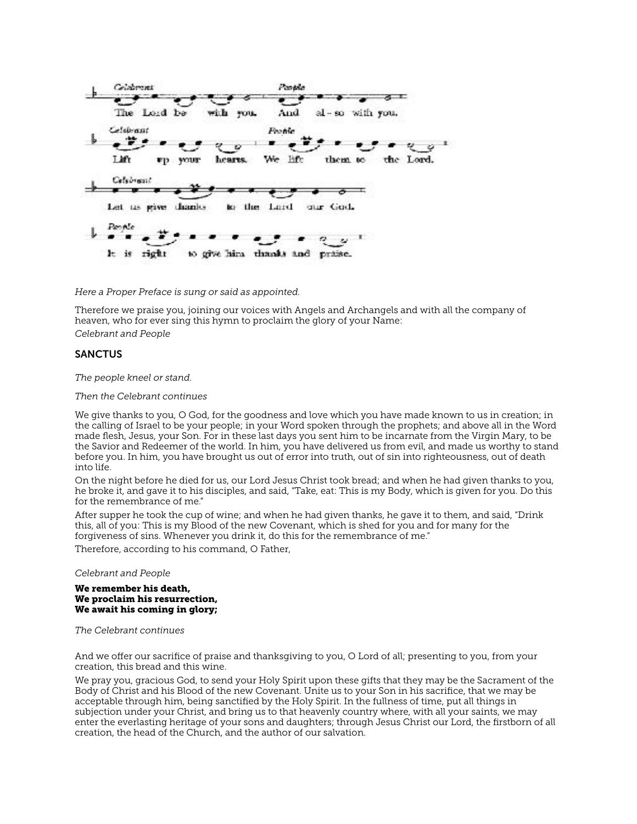

#### *Here a Proper Preface is sung or said as appointed.*

Therefore we praise you, joining our voices with Angels and Archangels and with all the company of heaven, who for ever sing this hymn to proclaim the glory of your Name:

*Celebrant and People*

## **SANCTUS**

*The people kneel or stand.*

*Then the Celebrant continues*

We give thanks to you, O God, for the goodness and love which you have made known to us in creation; in the calling of Israel to be your people; in your Word spoken through the prophets; and above all in the Word made flesh, Jesus, your Son. For in these last days you sent him to be incarnate from the Virgin Mary, to be the Savior and Redeemer of the world. In him, you have delivered us from evil, and made us worthy to stand before you. In him, you have brought us out of error into truth, out of sin into righteousness, out of death into life.

On the night before he died for us, our Lord Jesus Christ took bread; and when he had given thanks to you, he broke it, and gave it to his disciples, and said, "Take, eat: This is my Body, which is given for you. Do this for the remembrance of me."

After supper he took the cup of wine; and when he had given thanks, he gave it to them, and said, "Drink this, all of you: This is my Blood of the new Covenant, which is shed for you and for many for the forgiveness of sins. Whenever you drink it, do this for the remembrance of me."

Therefore, according to his command, O Father,

*Celebrant and People*

#### We remember his death, We proclaim his resurrection, We await his coming in glory;

*The Celebrant continues*

And we offer our sacrifice of praise and thanksgiving to you, O Lord of all; presenting to you, from your creation, this bread and this wine.

We pray you, gracious God, to send your Holy Spirit upon these gifts that they may be the Sacrament of the Body of Christ and his Blood of the new Covenant. Unite us to your Son in his sacrifice, that we may be acceptable through him, being sanctified by the Holy Spirit. In the fullness of time, put all things in subjection under your Christ, and bring us to that heavenly country where, with all your saints, we may enter the everlasting heritage of your sons and daughters; through Jesus Christ our Lord, the firstborn of all creation, the head of the Church, and the author of our salvation.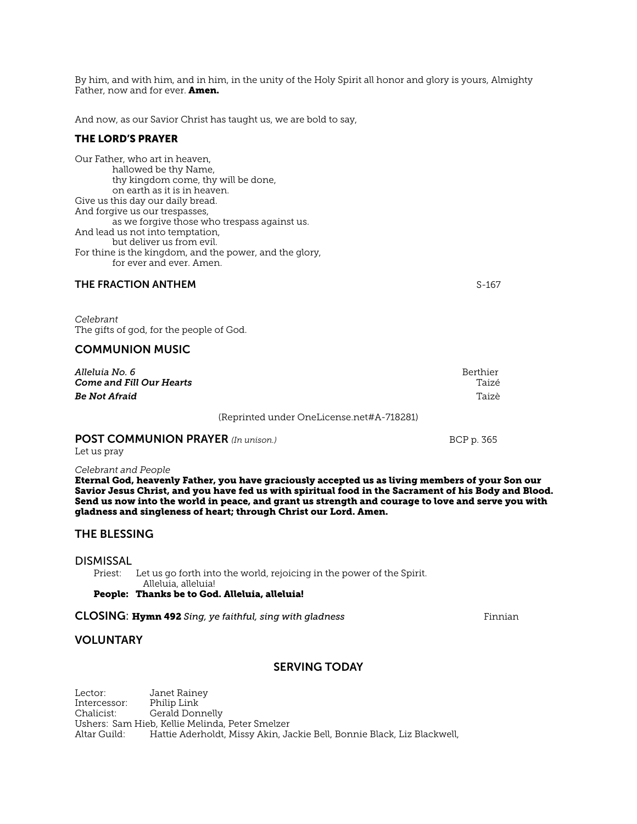By him, and with him, and in him, in the unity of the Holy Spirit all honor and glory is yours, Almighty Father, now and for ever. **Amen.** 

And now, as our Savior Christ has taught us, we are bold to say,

## THE LORD'S PRAYER

Our Father, who art in heaven, hallowed be thy Name, thy kingdom come, thy will be done, on earth as it is in heaven. Give us this day our daily bread. And forgive us our trespasses, as we forgive those who trespass against us. And lead us not into temptation, but deliver us from evil. For thine is the kingdom, and the power, and the glory, for ever and ever. Amen.

### THE FRACTION ANTHEM SALES IN THE SERVICE OF SALES AND STRIKE STRIKE STRIKE STRIKE STRIKE STRIKE STRIKE STRIKE STRIKE STRIKE STRIKE STRIKE STRIKE STRIKE STRIKE STRIKE STRIKE STRIKE STRIKE STRIKE STRIKE STRIKE STRIKE STRIKE

*Celebrant* The gifts of god, for the people of God.

# COMMUNION MUSIC

| Alleluia No. 6<br><b>Come and Fill Our Hearts</b> |                                           | Berthier<br>Taizé |
|---------------------------------------------------|-------------------------------------------|-------------------|
| <b>Be Not Afraid</b>                              |                                           | Taizè             |
|                                                   | (Reprinted under OneLicense.net#A-718281) |                   |

| <b>POST COMMUNION PRAYER (In unison.)</b> | BCP p. 365 |
|-------------------------------------------|------------|
|-------------------------------------------|------------|

Let us pray

#### *Celebrant and People*

Eternal God, heavenly Father, you have graciously accepted us as living members of your Son our Savior Jesus Christ, and you have fed us with spiritual food in the Sacrament of his Body and Blood. Send us now into the world in peace, and grant us strength and courage to love and serve you with gladness and singleness of heart; through Christ our Lord. Amen.

# THE BLESSING

## DISMISSAL

Priest: Let us go forth into the world, rejoicing in the power of the Spirit. Alleluia, alleluia! People: Thanks be to God. Alleluia, alleluia!

CLOSING: Hymn 492 Sing, ye faithful, sing with gladness Finnian

## **VOLUNTARY**

## SERVING TODAY

Lector: Janet Rainey<br>Intercessor: Philip Link Intercessor: Chalicist: Gerald Donnelly Ushers: Sam Hieb, Kellie Melinda, Peter Smelzer Altar Guild: Hattie Aderholdt, Missy Akin, Jackie Bell, Bonnie Black, Liz Blackwell,